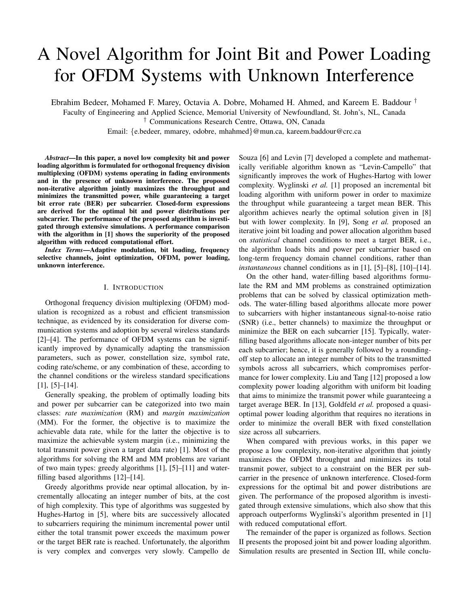# A Novel Algorithm for Joint Bit and Power Loading for OFDM Systems with Unknown Interference

Ebrahim Bedeer, Mohamed F. Marey, Octavia A. Dobre, Mohamed H. Ahmed, and Kareem E. Baddour †

Faculty of Engineering and Applied Science, Memorial University of Newfoundland, St. John's, NL, Canada

† Communications Research Centre, Ottawa, ON, Canada

Email: {e.bedeer, mmarey, odobre, mhahmed}@mun.ca, kareem.baddour@crc.ca

*Abstract*—In this paper, a novel low complexity bit and power loading algorithm is formulated for orthogonal frequency division multiplexing (OFDM) systems operating in fading environments and in the presence of unknown interference. The proposed non-iterative algorithm jointly maximizes the throughput and minimizes the transmitted power, while guaranteeing a target bit error rate (BER) per subcarrier. Closed-form expressions are derived for the optimal bit and power distributions per subcarrier. The performance of the proposed algorithm is investigated through extensive simulations. A performance comparison with the algorithm in [1] shows the superiority of the proposed algorithm with reduced computational effort.

*Index Terms*—Adaptive modulation, bit loading, frequency selective channels, joint optimization, OFDM, power loading, unknown interference.

## I. INTRODUCTION

Orthogonal frequency division multiplexing (OFDM) modulation is recognized as a robust and efficient transmission technique, as evidenced by its consideration for diverse communication systems and adoption by several wireless standards [2]–[4]. The performance of OFDM systems can be significantly improved by dynamically adapting the transmission parameters, such as power, constellation size, symbol rate, coding rate/scheme, or any combination of these, according to the channel conditions or the wireless standard specifications [1], [5]–[14].

Generally speaking, the problem of optimally loading bits and power per subcarrier can be categorized into two main classes: *rate maximization* (RM) and *margin maximization* (MM). For the former, the objective is to maximize the achievable data rate, while for the latter the objective is to maximize the achievable system margin (i.e., minimizing the total transmit power given a target data rate) [1]. Most of the algorithms for solving the RM and MM problems are variant of two main types: greedy algorithms [1], [5]–[11] and waterfilling based algorithms [12]–[14].

Greedy algorithms provide near optimal allocation, by incrementally allocating an integer number of bits, at the cost of high complexity. This type of algorithms was suggested by Hughes-Hartog in [5], where bits are successively allocated to subcarriers requiring the minimum incremental power until either the total transmit power exceeds the maximum power or the target BER rate is reached. Unfortunately, the algorithm is very complex and converges very slowly. Campello de Souza [6] and Levin [7] developed a complete and mathematically verifiable algorithm known as "Levin-Campello" that significantly improves the work of Hughes-Hartog with lower complexity. Wyglinski *et al.* [1] proposed an incremental bit loading algorithm with uniform power in order to maximize the throughput while guaranteeing a target mean BER. This algorithm achieves nearly the optimal solution given in [8] but with lower complexity. In [9], Song *et al.* proposed an iterative joint bit loading and power allocation algorithm based on *statistical* channel conditions to meet a target BER, i.e., the algorithm loads bits and power per subcarrier based on long-term frequency domain channel conditions, rather than *instantaneous* channel conditions as in [1], [5]–[8], [10]–[14].

On the other hand, water-filling based algorithms formulate the RM and MM problems as constrained optimization problems that can be solved by classical optimization methods. The water-filling based algorithms allocate more power to subcarriers with higher instantaneous signal-to-noise ratio (SNR) (i.e., better channels) to maximize the throughput or minimize the BER on each subcarrier [15]. Typically, waterfilling based algorithms allocate non-integer number of bits per each subcarrier; hence, it is generally followed by a roundingoff step to allocate an integer number of bits to the transmitted symbols across all subcarriers, which compromises performance for lower complexity. Liu and Tang [12] proposed a low complexity power loading algorithm with uniform bit loading that aims to minimize the transmit power while guaranteeing a target average BER. In [13], Goldfeld *et al.* proposed a quasioptimal power loading algorithm that requires no iterations in order to minimize the overall BER with fixed constellation size across all subcarriers.

When compared with previous works, in this paper we propose a low complexity, non-iterative algorithm that jointly maximizes the OFDM throughput and minimizes its total transmit power, subject to a constraint on the BER per subcarrier in the presence of unknown interference. Closed-form expressions for the optimal bit and power distributions are given. The performance of the proposed algorithm is investigated through extensive simulations, which also show that this approach outperforms Wyglinski's algorithm presented in [1] with reduced computational effort.

The remainder of the paper is organized as follows. Section II presents the proposed joint bit and power loading algorithm. Simulation results are presented in Section III, while conclu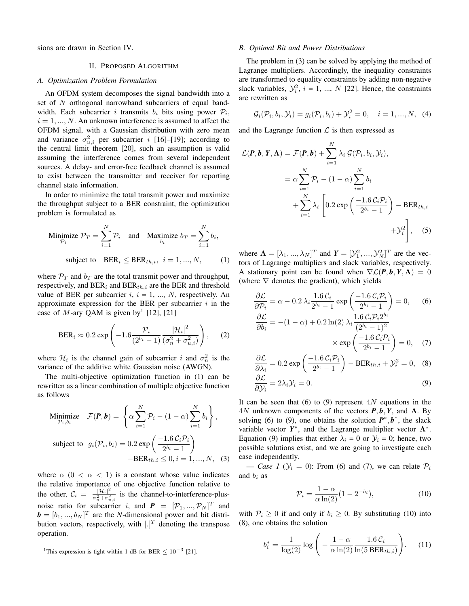sions are drawn in Section IV.

## II. PROPOSED ALGORITHM

## *A. Optimization Problem Formulation*

An OFDM system decomposes the signal bandwidth into a set of N orthogonal narrowband subcarriers of equal bandwidth. Each subcarrier *i* transmits  $b_i$  bits using power  $P_i$ ,  $i = 1, ..., N$ . An unknown interference is assumed to affect the OFDM signal, with a Gaussian distribution with zero mean and variance  $\sigma_{u,i}^2$  per subcarrier i [16]–[19]; according to the central limit theorem [20], such an assumption is valid assuming the interference comes from several independent sources. A delay- and error-free feedback channel is assumed to exist between the transmitter and receiver for reporting channel state information.

In order to minimize the total transmit power and maximize the throughput subject to a BER constraint, the optimization problem is formulated as

Minimize 
$$
\mathcal{P}_T = \sum_{i=1}^N \mathcal{P}_i
$$
 and Maximize  $b_T = \sum_{i=1}^N b_i$ ,  
subject to  $\text{BER}_i \leq \text{BER}_{th,i}, i = 1, ..., N$ , (1)

where  $\mathcal{P}_T$  and  $b_T$  are the total transmit power and throughput, respectively, and  $BER_i$  and  $BER_{th,i}$  are the BER and threshold value of BER per subcarrier  $i, i = 1, ..., N$ , respectively. An approximate expression for the BER per subcarrier  $i$  in the case of M-ary QAM is given by<sup>1</sup> [12], [21]

$$
\text{BER}_i \approx 0.2 \exp\left(-1.6 \frac{\mathcal{P}_i}{(2^{b_i} - 1)} \frac{|\mathcal{H}_i|^2}{(\sigma_n^2 + \sigma_{u,i}^2)}\right), \quad (2)
$$

where  $\mathcal{H}_i$  is the channel gain of subcarrier i and  $\sigma_n^2$  is the variance of the additive white Gaussian noise (AWGN).

The multi-objective optimization function in (1) can be rewritten as a linear combination of multiple objective function as follows

Minimize 
$$
\mathcal{F}(\mathbf{P}, \mathbf{b}) = \left\{ \alpha \sum_{i=1}^{N} \mathcal{P}_i - (1 - \alpha) \sum_{i=1}^{N} b_i \right\},\
$$
  
subject to  $g_i(\mathcal{P}_i, b_i) = 0.2 \exp\left(\frac{-1.6 \mathcal{C}_i \mathcal{P}_i}{2^{b_i} - 1}\right)\$   
-BER<sub>th,i</sub>  $\leq 0, i = 1, ..., N,$  (3)

where  $\alpha$  (0 <  $\alpha$  < 1) is a constant whose value indicates the relative importance of one objective function relative to the other,  $C_i = \frac{|\mathcal{H}_i|^2}{\sigma^2 + \sigma^2}$  $\frac{|\mathcal{H}^i|}{\sigma_n^2 + \sigma_{u,i}^2}$  is the channel-to-interference-plusnoise ratio for subcarrier *i*, and  $P = [\mathcal{P}_1, ..., \mathcal{P}_N]^T$  and  $\mathbf{b} = [b_1, ..., b_N]^T$  are the *N*-dimensional power and bit distribution vectors, respectively, with  $[.]^T$  denoting the transpose operation.

#### *B. Optimal Bit and Power Distributions*

The problem in (3) can be solved by applying the method of Lagrange multipliers. Accordingly, the inequality constraints are transformed to equality constraints by adding non-negative slack variables,  $\mathcal{Y}_i^2$ ,  $i = 1, ..., N$  [22]. Hence, the constraints are rewritten as

$$
G_i(P_i, b_i, Y_i) = g_i(P_i, b_i) + Y_i^2 = 0, \quad i = 1, ..., N, \quad (4)
$$

and the Lagrange function  $\mathcal L$  is then expressed as

$$
\mathcal{L}(\boldsymbol{P}, \boldsymbol{b}, \boldsymbol{Y}, \boldsymbol{\Lambda}) = \mathcal{F}(\boldsymbol{P}, \boldsymbol{b}) + \sum_{i=1}^{N} \lambda_i \mathcal{G}(\mathcal{P}_i, b_i, \mathcal{Y}_i),
$$
  
\n
$$
= \alpha \sum_{i=1}^{N} \mathcal{P}_i - (1 - \alpha) \sum_{i=1}^{N} b_i
$$
  
\n
$$
+ \sum_{i=1}^{N} \lambda_i \left[ 0.2 \exp \left( \frac{-1.6 \mathcal{C}_i \mathcal{P}_i}{2^{b_i} - 1} \right) - \text{BER}_{th,i} + \mathcal{Y}_i^2 \right], \quad (5)
$$

where  $\mathbf{\Lambda} = [\lambda_1, ..., \lambda_N]^T$  and  $\mathbf{Y} = [\mathcal{Y}_1^2, ..., \mathcal{Y}_N^2]^T$  are the vectors of Lagrange multipliers and slack variables, respectively. A stationary point can be found when  $\nabla \mathcal{L}(P, b, Y, \Lambda) = 0$ (where  $\nabla$  denotes the gradient), which yields

$$
\frac{\partial \mathcal{L}}{\partial \mathcal{P}_i} = \alpha - 0.2 \lambda_i \frac{1.6 \mathcal{C}_i}{2^{b_i} - 1} \exp\left(\frac{-1.6 \mathcal{C}_i \mathcal{P}_i}{2^{b_i} - 1}\right) = 0, \quad (6)
$$

$$
\frac{\partial \mathcal{L}}{\partial b_i} = -(1 - \alpha) + 0.2 \ln(2) \lambda_i \frac{1.6 \mathcal{C}_i \mathcal{P}_i 2^{b_i}}{(2^{b_i} - 1)^2}
$$

$$
\times \exp\left(\frac{-1.6 \mathcal{C}_i \mathcal{P}_i}{2^{b_i} - 1}\right) = 0, \quad (7)
$$

$$
\frac{\partial \mathcal{L}}{\partial \lambda_i} = 0.2 \exp\left(\frac{-1.6 \mathcal{C}_i \mathcal{P}_i}{2^{b_i} - 1}\right) - \text{BER}_{th,i} + \mathcal{Y}_i^2 = 0, \quad (8)
$$

$$
\frac{\partial \mathcal{L}}{\partial \lambda_i} = 2\lambda_i \mathcal{Y}_i = 0. \tag{9}
$$

$$
\frac{\partial \Sigma}{\partial y_i} = 2\lambda_i y_i = 0. \tag{9}
$$

It can be seen that (6) to (9) represent  $4N$  equations in the 4N unknown components of the vectors  $P$ ,  $b$ ,  $Y$ , and  $Λ$ . By solving (6) to (9), one obtains the solution  $P^*$ ,  $b^*$ , the slack variable vector  $Y^*$ , and the Lagrange multiplier vector  $\Lambda^*$ . Equation (9) implies that either  $\lambda_i = 0$  or  $\mathcal{Y}_i = 0$ ; hence, two possible solutions exist, and we are going to investigate each case independently.

— *Case 1* ( $\mathcal{Y}_i = 0$ ): From (6) and (7), we can relate  $\mathcal{P}_i$ and  $b_i$  as

$$
\mathcal{P}_i = \frac{1 - \alpha}{\alpha \ln(2)} (1 - 2^{-b_i}),\tag{10}
$$

with  $P_i \geq 0$  if and only if  $b_i \geq 0$ . By substituting (10) into (8), one obtains the solution

$$
b_i^* = \frac{1}{\log(2)} \log \left( -\frac{1-\alpha}{\alpha \ln(2)} \frac{1.6 \, \mathcal{C}_i}{\ln(5 \, \text{BER}_{th,i})} \right). \tag{11}
$$

<sup>&</sup>lt;sup>1</sup>This expression is tight within 1 dB for BER  $\leq 10^{-3}$  [21].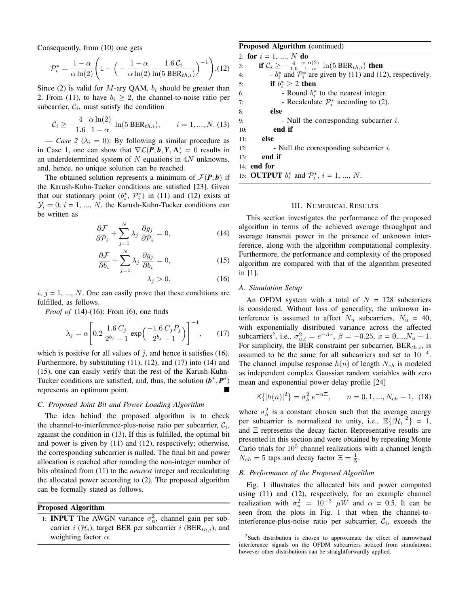Consequently, from (10) one gets

$$
\mathcal{P}_i^* = \frac{1-\alpha}{\alpha \ln(2)} \left( 1 - \left( -\frac{1-\alpha}{\alpha \ln(2)} \frac{1.6 \,\mathcal{C}_i}{\ln(5 \text{ BER}_{th,i})} \right)^{-1} \right). (12)
$$

Since (2) is valid for M-ary QAM,  $b_i$  should be greater than 2. From (11), to have  $b_i \geq 2$ , the channel-to-noise ratio per subcarrier,  $C_i$ , must satisfy the condition

$$
\mathcal{C}_i \ge -\frac{4}{1.6} \frac{\alpha \ln(2)}{1-\alpha} \ln(5 \text{ BER}_{th,i}), \qquad i = 1, ..., N. (13)
$$

— *Case 2* ( $\lambda_i = 0$ ): By following a similar procedure as in Case 1, one can show that  $\nabla \mathcal{L}(P, b, Y, \Lambda) = 0$  results in an underdetermined system of  $N$  equations in  $4N$  unknowns, and, hence, no unique solution can be reached.

The obtained solution represents a minimum of  $\mathcal{F}(P, b)$  if the Karush-Kuhn-Tucker conditions are satisfied [23]. Given that our stationary point  $(b_i^*, \mathcal{P}_i^*)$  in (11) and (12) exists at  $\mathcal{Y}_i = 0, i = 1, ..., N$ , the Karush-Kuhn-Tucker conditions can be written as

$$
\frac{\partial \mathcal{F}}{\partial \mathcal{P}_i} + \sum_{j=1}^{N} \lambda_j \frac{\partial g_j}{\partial \mathcal{P}_i} = 0, \tag{14}
$$

$$
\frac{\partial \mathcal{F}}{\partial b_i} + \sum_{j=1}^{N} \lambda_j \frac{\partial g_j}{\partial b_i} = 0,
$$
\n(15)

$$
\lambda_j > 0,\tag{16}
$$

 $i, j = 1, ..., N$ . One can easily prove that these conditions are fulfilled, as follows.

*Proof of* (14)-(16): From (6), one finds

$$
\lambda_j = \alpha \left[ 0.2 \, \frac{1.6 \, C_j}{2^{b_j} - 1} \exp\left(\frac{-1.6 \, C_j P_j}{2^{b_j} - 1}\right) \right]^{-1}, \qquad (17)
$$

which is positive for all values of  $j$ , and hence it satisfies (16). Furthermore, by substituting (11), (12), and (17) into (14) and (15), one can easily verify that the rest of the Karush-Kuhn-Tucker conditions are satisfied, and, thus, the solution  $(b^*, P^*)$ represents an optimum point.

# *C. Proposed Joint Bit and Power Loading Algorithm*

The idea behind the proposed algorithm is to check the channel-to-interference-plus-noise ratio per subcarrier,  $C_i$ , against the condition in (13). If this is fulfilled, the optimal bit and power is given by (11) and (12), respectively; otherwise, the corresponding subcarrier is nulled. The final bit and power allocation is reached after rounding the non-integer number of bits obtained from (11) to the *nearest* integer and recalculating the allocated power according to (2). The proposed algorithm can be formally stated as follows.

# Proposed Algorithm

1: **INPUT** The AWGN variance  $\sigma_n^2$ , channel gain per subcarrier i  $(\mathcal{H}_i)$ , target BER per subcarrier i (BER<sub>th,i</sub>), and weighting factor  $\alpha$ .

## Proposed Algorithm (continued)

2: for  $i = 1, ..., N$  do 3: **if**  $C_i \ge -\frac{4}{1.6}$  $\alpha \ln(2)$  $\frac{\ln(2)}{1-\alpha} \ln(5 \text{ BER}_{th,i})$  then 4:  $b_i^*$  and  $\mathcal{P}_i^*$  are given by (11) and (12), respectively. 5: if  $b_i^*$ if  $b_i^* \geq 2$  then 6: - Round  $b_i^*$  to the nearest integer. 7: **- Recalculate**  $\mathcal{P}_i^*$  according to (2). 8: else 9:  $\blacksquare$  - Null the corresponding subcarrier *i*. 10: end if 11: else 12:  $\blacksquare$  - Null the corresponding subcarrier *i*. 13: end if 14: end for 15: **OUTPUT**  $b_i^*$  and  $\mathcal{P}_i^*$ ,  $i = 1, ..., N$ .

## III. NUMERICAL RESULTS

This section investigates the performance of the proposed algorithm in terms of the achieved average throughput and average transmit power in the presence of unknown interference, along with the algorithm computational complexity. Furthermore, the performance and complexity of the proposed algorithm are compared with that of the algorithm presented in [1].

#### *A. Simulation Setup*

An OFDM system with a total of  $N = 128$  subcarriers is considered. Without loss of generality, the unknown interference is assumed to affect  $N_u$  subcarriers,  $N_u = 40$ , with exponentially distributed variance across the affected subcarriers<sup>2</sup>, i.e.,  $\sigma_{u,i}^2 = e^{-\beta x}, \ \beta = -0.25, \ x = 0,...,N_u - 1.$ For simplicity, the BER constraint per subcarrier,  $BER_{th,i}$ , is assumed to be the same for all subcarriers and set to  $10^{-4}$ . The channel impulse response  $h(n)$  of length  $N_{ch}$  is modeled as independent complex Gaussian random variables with zero mean and exponential power delay profile [24]

$$
\mathbb{E}\{|h(n)|^2\} = \sigma_h^2 e^{-n\Xi}, \qquad n = 0, 1, ..., N_{ch} - 1, (18)
$$

where  $\sigma_h^2$  is a constant chosen such that the average energy per subcarrier is normalized to unity, i.e.,  $\mathbb{E}\{|\mathcal{H}_i|^2\} = 1$ , and Ξ represents the decay factor. Representative results are presented in this section and were obtained by repeating Monte Carlo trials for  $10<sup>5</sup>$  channel realizations with a channel length  $N_{ch} = 5$  taps and decay factor  $\Xi = \frac{1}{5}$ .

# *B. Performance of the Proposed Algorithm*

Fig. 1 illustrates the allocated bits and power computed using (11) and (12), respectively, for an example channel realization with  $\sigma_n^2 = 10^{-3}$   $\mu$ W and  $\alpha = 0.5$ . It can be seen from the plots in Fig. 1 that when the channel-tointerference-plus-noise ratio per subcarrier,  $\mathcal{C}_i$ , exceeds the

<sup>&</sup>lt;sup>2</sup>Such distribution is chosen to approximate the effect of narrowband interference signals on the OFDM subcarriers noticed from simulations; however other distributions can be straightforwardly applied.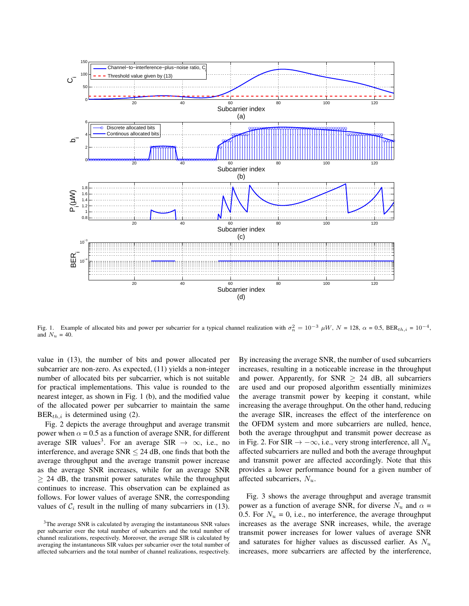

Fig. 1. Example of allocated bits and power per subcarrier for a typical channel realization with  $\sigma_n^2 = 10^{-3} \mu W$ ,  $N = 128$ ,  $\alpha = 0.5$ ,  $BER_{th,i} = 10^{-4}$ , and  $N_u = 40$ .

value in (13), the number of bits and power allocated per subcarrier are non-zero. As expected, (11) yields a non-integer number of allocated bits per subcarrier, which is not suitable for practical implementations. This value is rounded to the nearest integer, as shown in Fig. 1 (b), and the modified value of the allocated power per subcarrier to maintain the same  $BER<sub>th.i</sub>$  is determined using (2).

Fig. 2 depicts the average throughput and average transmit power when  $\alpha = 0.5$  as a function of average SNR, for different average SIR values<sup>3</sup>. For an average SIR  $\rightarrow \infty$ , i.e., no interference, and average  $SNR < 24$  dB, one finds that both the average throughput and the average transmit power increase as the average SNR increases, while for an average SNR  $\geq$  24 dB, the transmit power saturates while the throughput continues to increase. This observation can be explained as follows. For lower values of average SNR, the corresponding values of  $C_i$  result in the nulling of many subcarriers in (13). By increasing the average SNR, the number of used subcarriers increases, resulting in a noticeable increase in the throughput and power. Apparently, for SNR  $\geq$  24 dB, all subcarriers are used and our proposed algorithm essentially minimizes the average transmit power by keeping it constant, while increasing the average throughput. On the other hand, reducing the average SIR, increases the effect of the interference on the OFDM system and more subcarriers are nulled, hence, both the average throughput and transmit power decrease as in Fig. 2. For SIR  $\rightarrow -\infty$ , i.e., very strong interference, all  $N_u$ affected subcarriers are nulled and both the average throughput and transmit power are affected accordingly. Note that this provides a lower performance bound for a given number of affected subcarriers,  $N_u$ .

Fig. 3 shows the average throughput and average transmit power as a function of average SNR, for diverse  $N_u$  and  $\alpha$  = 0.5. For  $N_u = 0$ , i.e., no interference, the average throughput increases as the average SNR increases, while, the average transmit power increases for lower values of average SNR and saturates for higher values as discussed earlier. As  $N_u$ increases, more subcarriers are affected by the interference,

<sup>&</sup>lt;sup>3</sup>The average SNR is calculated by averaging the instantaneous SNR values per subcarrier over the total number of subcarriers and the total number of channel realizations, respectively. Moreover, the average SIR is calculated by averaging the instantaneous SIR values per subcarrier over the total number of affected subcarriers and the total number of channel realizations, respectively.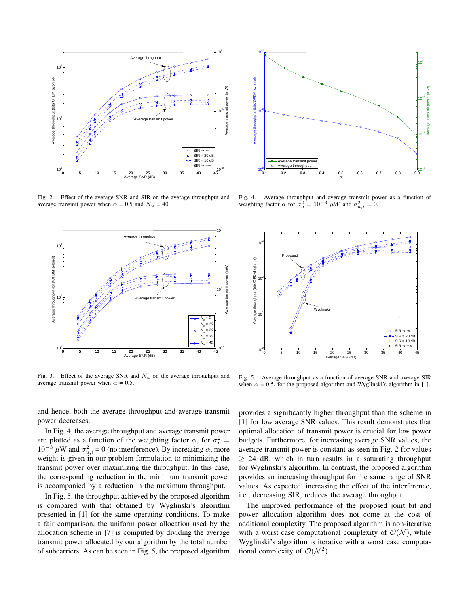

Fig. 2. Effect of the average SNR and SIR on the average throughput and average transmit power when  $\alpha = 0.5$  and  $N_u = 40$ .



Fig. 3. Effect of the average SNR and  $N_u$  on the average throughput and average transmit power when  $\alpha = 0.5$ .

and hence, both the average throughput and average transmit power decreases.

In Fig. 4, the average throughput and average transmit power are plotted as a function of the weighting factor  $\alpha$ , for  $\sigma_n^2 =$  $10^{-3}$   $\mu$ W and  $\sigma_{u,i}^2 = 0$  (no interference). By increasing  $\alpha$ , more weight is given in our problem formulation to minimizing the transmit power over maximizing the throughput. In this case, the corresponding reduction in the minimum transmit power is accompanied by a reduction in the maximum throughput.

In Fig. 5, the throughput achieved by the proposed algorithm is compared with that obtained by Wyglinski's algorithm presented in [1] for the same operating conditions. To make a fair comparison, the uniform power allocation used by the allocation scheme in [7] is computed by dividing the average transmit power allocated by our algorithm by the total number of subcarriers. As can be seen in Fig. 5, the proposed algorithm



Fig. 4. Average throughput and average transmit power as a function of weighting factor  $\alpha$  for  $\sigma_n^2 = 10^{-3}$   $\mu W$  and  $\sigma_{u,i}^2 = 0$ .



Fig. 5. Average throughput as a function of average SNR and average SIR when  $\alpha = 0.5$ , for the proposed algorithm and Wyglinski's algorithm in [1].

provides a significantly higher throughput than the scheme in [1] for low average SNR values. This result demonstrates that optimal allocation of transmit power is crucial for low power budgets. Furthermore, for increasing average SNR values, the average transmit power is constant as seen in Fig. 2 for values  $\geq$  24 dB, which in turn results in a saturating throughput for Wyglinski's algorithm. In contrast, the proposed algorithm provides an increasing throughput for the same range of SNR values. As expected, increasing the effect of the interference, i.e., decreasing SIR, reduces the average throughput.

The improved performance of the proposed joint bit and power allocation algorithm does not come at the cost of additional complexity. The proposed algorithm is non-iterative with a worst case computational complexity of  $\mathcal{O}(\mathcal{N})$ , while Wyglinski's algorithm is iterative with a worst case computational complexity of  $\mathcal{O}(\mathcal{N}^2)$ .